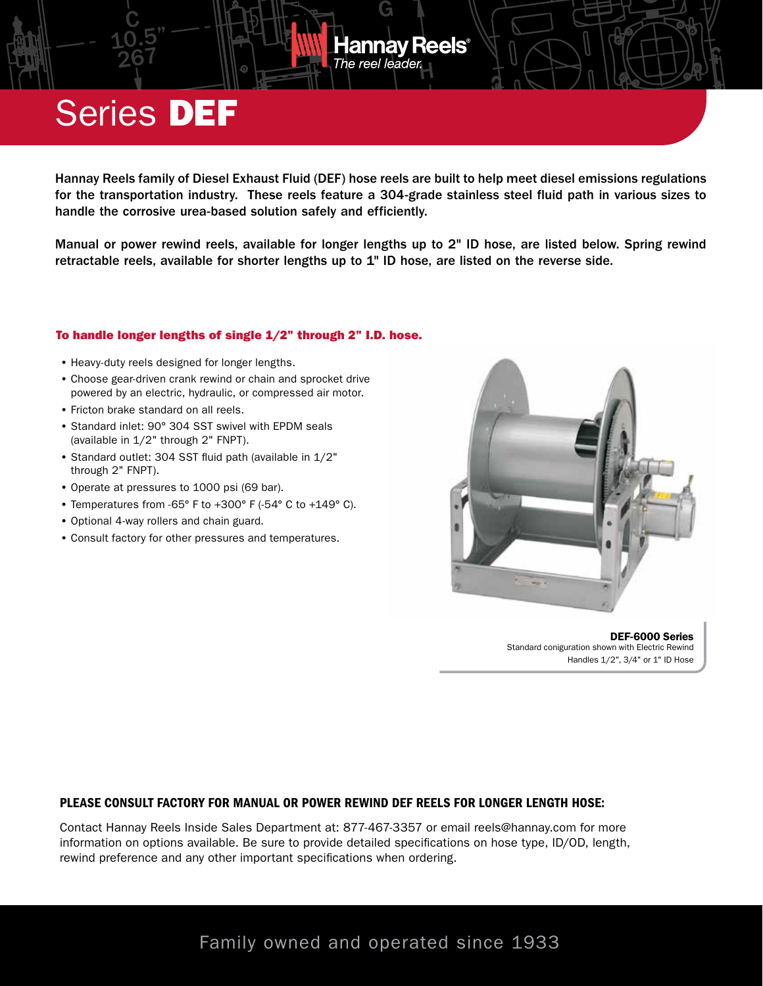## Series DEF

Hannay Reels family of Diesel Exhaust Fluid (DEF) hose reels are built to help meet diesel emissions regulations for the transportation industry. These reels feature a 304-grade stainless steel fluid path in various sizes to handle the corrosive urea-based solution safely and efficiently.

The reel leader.

lannay Reels<sup>®</sup>

Manual or power rewind reels, available for longer lengths up to 2" ID hose, are listed below. Spring rewind retractable reels, available for shorter lengths up to 1" ID hose, are listed on the reverse side.

#### To handle longer lengths of single 1/2" through 2" I.D. hose.

- Heavy-duty reels designed for longer lengths.
- Choose gear-driven crank rewind or chain and sprocket drive powered by an electric, hydraulic, or compressed air motor.
- Fricton brake standard on all reels.
- Standard inlet: 90° 304 SST swivel with EPDM seals (available in 1/2" through 2" FNPT).
- Standard outlet: 304 SST fluid path (available in 1/2" through 2" FNPT).
- Operate at pressures to 1000 psi (69 bar).
- Temperatures from -65° F to +300° F (-54° C to +149° C).
- Optional 4-way rollers and chain guard.
- Consult factory for other pressures and temperatures.



DEF-6000 Series Standard coniguration shown with Electric Rewind Handles 1/2", 3/4" or 1" ID Hose

### PLEASE CONSULT FACTORY FOR MANUAL OR POWER REWIND DEF REELS FOR LONGER LENGTH HOSE:

Contact Hannay Reels Inside Sales Department at: 877-467-3357 or email reels@hannay.com for more information on options available. Be sure to provide detailed specifications on hose type, ID/OD, length, rewind preference and any other important specifications when ordering.